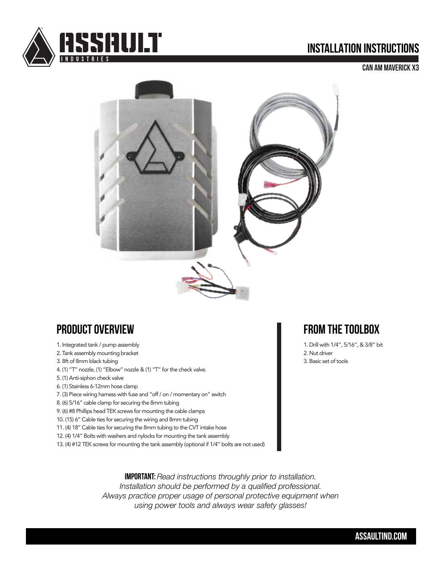## **INSTALLATION INSTRUCTIONS**



Can Am Maverick X3



## **PRODUCT OVERVIEW**

- 1. Integrated tank / pump assembly
- 2. Tank assembly mounting bracket
- 3. 8ft of 8mm black tubing
- 4. (1) "T" nozzle, (1) "Elbow" nozzle & (1) "T" for the check valve.
- 5. (1) Anti-siphon check valve
- 6. (1) Stainless 6-12mm hose clamp
- 7. (3) Piece wiring harness with fuse and "off / on / momentary on" switch
- 8. (6) 5/16" cable clamp for securing the 8mm tubing
- 9. (6) #8 Phillips head TEK screws for mounting the cable clamps
- 10. (15) 6" Cable ties for securing the wiring and 8mm tubing
- 11. (4) 18" Cable ties for securing the 8mm tubing to the CVT intake hose
- 12. (4) 1/4" Bolts with washers and nylocks for mounting the tank assembly
- 13. (4) #12 TEK screws for mounting the tank assembly (optional if 1/4" bolts are not used)

# **From the toolbox**

1. Drill with 1/4", 5/16", & 3/8" bit 2. Nut driver 3. Basic set of tools

**Important:** *Read instructions throughly prior to installation. Installation should be performed by a qualified professional. Always practice proper usage of personal protective equipment when using power tools and always wear safety glasses!*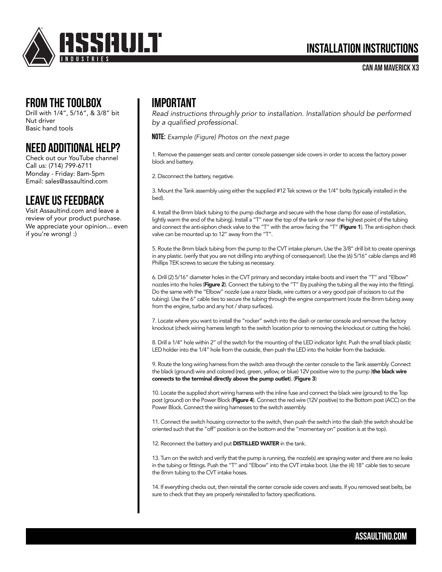

#### Can Am Maverick X3

### **FROM THE TOOLBOX**

Drill with 1/4", 5/16", & 3/8" bit Nut driver Basic hand tools

### **Need Additional Help?**

Check out our YouTube channel Call us: (714) 799-6711 Monday - Friday: 8am-5pm Email: sales@assaultind.com

## **Leave US FEEDBACK**

Visit Assaultind.com and leave a review of your product purchase. We appreciate your opinion... even if you're wrong! :)

# **Important**

*Read instructions throughly prior to installation. Installation should be performed by a qualified professional.*

NOTE: *Example (Figure) Photos on the next page*

1. Remove the passenger seats and center console passenger side covers in order to access the factory power block and battery.

2. Disconnect the battery, negative.

3. Mount the Tank assembly using either the supplied #12 Tek screws or the 1/4" bolts (typically installed in the bed).

4. Install the 8mm black tubing to the pump discharge and secure with the hose clamp (for ease of installation, lightly warm the end of the tubing). Install a "T" near the top of the tank or near the highest point of the tubing and connect the anti-siphon check valve to the "T" with the arrow facing the "T" (Figure 1). The anti-siphon check valve can be mounted up to 12" away from the "T".

5. Route the 8mm black tubing from the pump to the CVT intake plenum. Use the 3/8" drill bit to create openings in any plastic. (verify that you are not drilling into anything of consequence!). Use the (6) 5/16" cable clamps and #8 Phillips TEK screws to secure the tubing as necessary.

6. Drill (2) 5/16" diameter holes in the CVT primary and secondary intake boots and insert the "T" and "Elbow" nozzles into the holes (Figure 2). Connect the tubing to the "T" (by pushing the tubing all the way into the fitting). Do the same with the "Elbow" nozzle (use a razor blade, wire cutters or a very good pair of scissors to cut the tubing). Use the 6" cable ties to secure the tubing through the engine compartment (route the 8mm tubing away from the engine, turbo and any hot / sharp surfaces).

7. Locate where you want to install the "rocker" switch into the dash or center console and remove the factory knockout (check wiring harness length to the switch location prior to removing the knockout or cutting the hole).

8. Drill a 1/4" hole within 2" of the switch for the mounting of the LED indicator light. Push the small black plastic LED holder into the 1/4" hole from the outside, then push the LED into the holder from the backside.

9. Route the long wiring harness from the switch area through the center console to the Tank assembly. Connect the black (ground) wire and colored (red, green, yellow, or blue) 12V positive wire to the pump (the black wire connects to the terminal directly above the pump outlet). (Figure 3)

10. Locate the supplied short wiring harness with the inline fuse and connect the black wire (ground) to the Top post (ground) on the Power Block (Figure 4). Connect the red wire (12V positive) to the Bottom post (ACC) on the Power Block. Connect the wiring harnesses to the switch assembly.

11. Connect the switch housing connector to the switch, then push the switch into the dash (the switch should be oriented such that the "off" position is on the bottom and the "momentary on" position is at the top).

12. Reconnect the battery and put DISTILLED WATER in the tank.

13. Turn on the switch and verify that the pump is running, the nozzle(s) are spraying water and there are no leaks in the tubing or fittings. Push the "T" and "Elbow" into the CVT intake boot. Use the (4) 18" cable ties to secure the 8mm tubing to the CVT intake hoses.

14. If everything checks out, then reinstall the center console side covers and seats. If you removed seat belts, be sure to check that they are properly reinstalled to factory specifications.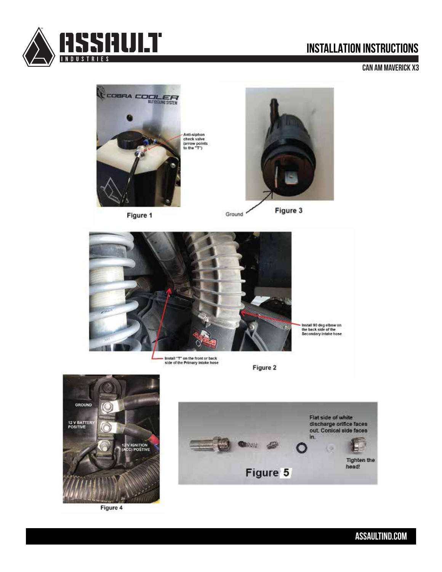



#### Can Am Maverick X3





Figure 4